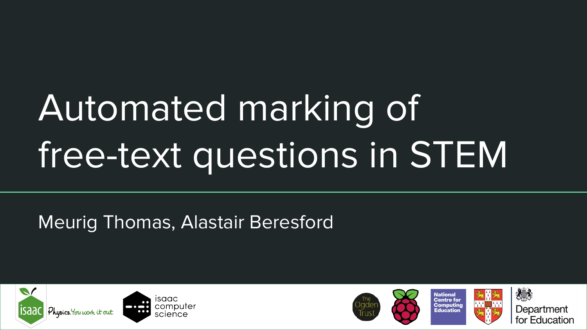# Automated marking of free-text questions in STEM

## Meurig Thomas, Alastair Beresford



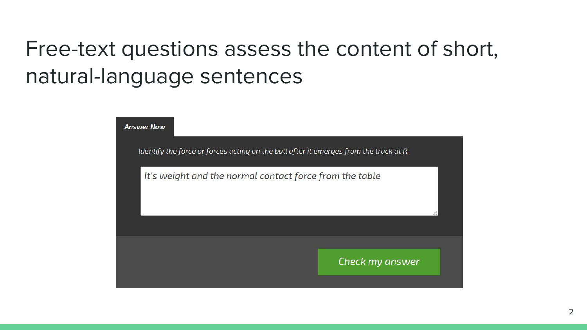## Free-text questions assess the content of short, natural-language sentences

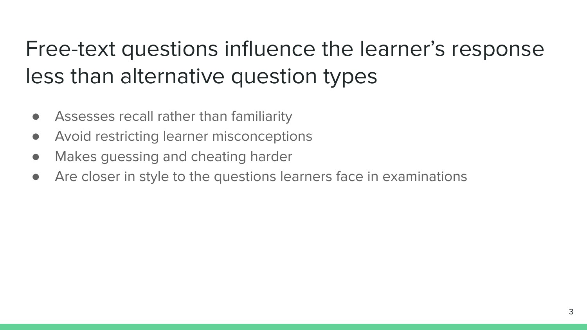## Free-text questions influence the learner's response less than alternative question types

- Assesses recall rather than familiarity
- Avoid restricting learner misconceptions
- Makes guessing and cheating harder
- Are closer in style to the questions learners face in examinations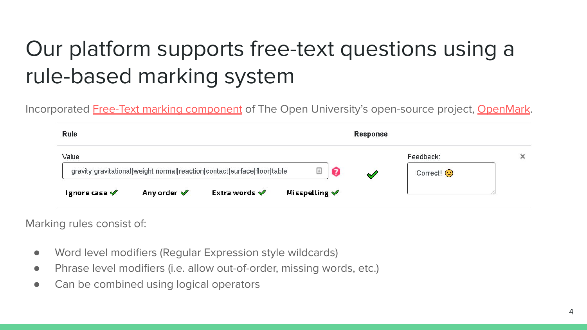# Our platform supports free-text questions using a rule-based marking system

Incorporated Free-Text marking component of The Open University's open-source project, OpenMark.

| Rule                        |                        |                                                                          |                             | <b>Response</b> |                               |  |
|-----------------------------|------------------------|--------------------------------------------------------------------------|-----------------------------|-----------------|-------------------------------|--|
| Value                       |                        | gravity gravitational weight normal reaction contact surface floor table |                             |                 | Feedback:<br>Correct! $\odot$ |  |
| Ignore case $\blacklozenge$ | Any order $\mathscr V$ | Extra words $\blacktriangledown$                                         | Misspelling $\blacklozenge$ |                 |                               |  |

Marking rules consist of:

- Word level modifiers (Regular Expression style wildcards)
- Phrase level modifiers (i.e. allow out-of-order, missing words, etc.)
- Can be combined using logical operators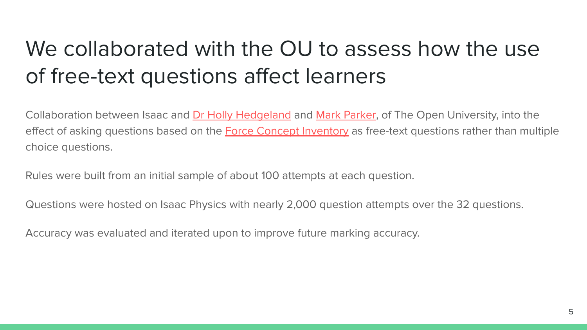## We collaborated with the OU to assess how the use of free-text questions affect learners

Collaboration between Isaac and Dr Holly Hedgeland and Mark Parker, of The Open University, into the effect of asking questions based on the **Force Concept Inventory** as free-text questions rather than multiple choice questions.

Rules were built from an initial sample of about 100 attempts at each question.

Questions were hosted on Isaac Physics with nearly 2,000 question attempts over the 32 questions.

Accuracy was evaluated and iterated upon to improve future marking accuracy.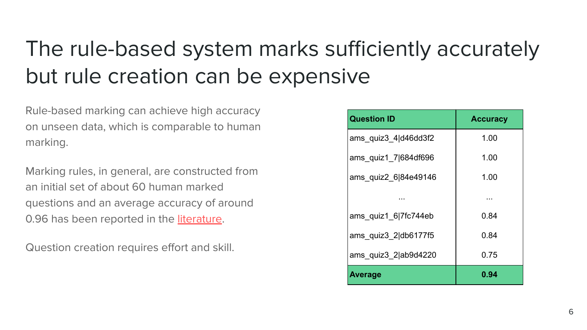## The rule-based system marks sufficiently accurately but rule creation can be expensive

Rule-based marking can achieve high accuracy on unseen data, which is comparable to human marking.

Marking rules, in general, are constructed from an initial set of about 60 human marked questions and an average accuracy of around 0.96 has been reported in the **literature**.

Question creation requires effort and skill.

| <b>Question ID</b>   | <b>Accuracy</b> |  |  |
|----------------------|-----------------|--|--|
| ams quiz3 4 d46dd3f2 | 1.00            |  |  |
| ams quiz1 7 684df696 | 1.00            |  |  |
| ams quiz2 6 84e49146 | 1.00            |  |  |
|                      | .               |  |  |
| ams quiz1 6 7fc744eb | 0.84            |  |  |
| ams quiz3 2 db6177f5 | 0.84            |  |  |
| ams quiz3 2 ab9d4220 | 0.75            |  |  |
| <b>Average</b>       | 0.94            |  |  |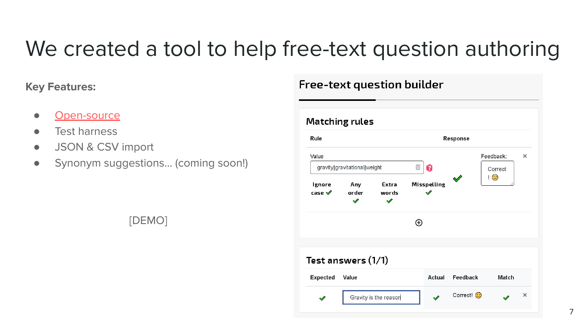## We created a tool to help free-text question authoring

### **Key Features:**

- Open-source
- Test harness
- JSON & CSV import
- Synonym suggestions... (coming soon!)

#### **Matching rules** Rule Response Value Feedback:  $\times$  $\Box$ qravity|qravitational|weight Correct  $\mathbf{1} \odot$ **Misspelling** lenore Any Extra case  $\mathscr V$ order  $\overline{\mathscr{S}}$ words  $\mathscr{Q}$  $\bigoplus$ Test answers (1/1) Expected Value Feedback Match Actual

Correct!

 $\overline{\mathscr{S}}$ 

**Free-text question builder** 

Gravity is the reason

### [DEMO]

 $\times$ 

D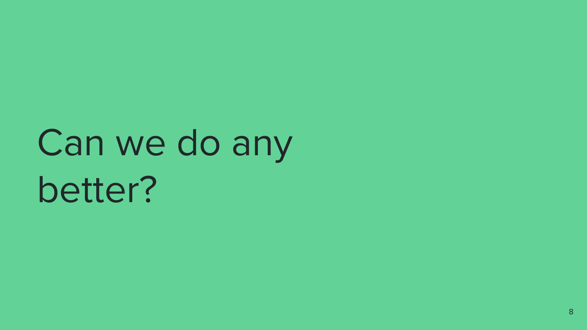# Can we do any better?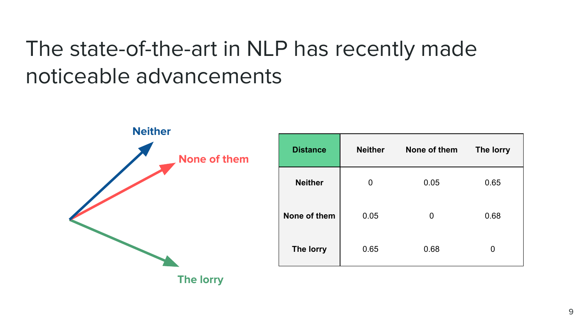## The state-of-the-art in NLP has recently made noticeable advancements



| <b>Distance</b> | <b>Neither</b> | None of them | The lorry |
|-----------------|----------------|--------------|-----------|
| <b>Neither</b>  | 0              | 0.05         | 0.65      |
| None of them    | 0.05           | 0            | 0.68      |
| The lorry       | 0.65           | 0.68         |           |

**The lorry**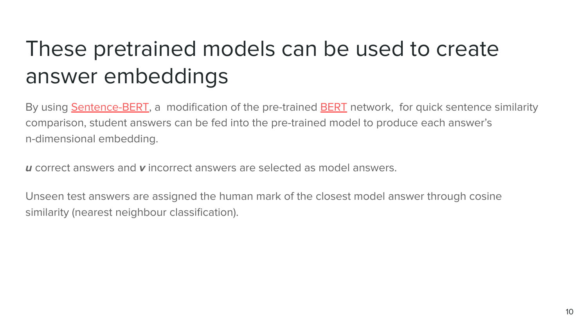## These pretrained models can be used to create answer embeddings

By using **Sentence-BERT**, a modification of the pre-trained **BERT** network, for quick sentence similarity comparison, student answers can be fed into the pre-trained model to produce each answer's n-dimensional embedding.

**u** correct answers and **v** incorrect answers are selected as model answers.

Unseen test answers are assigned the human mark of the closest model answer through cosine similarity (nearest neighbour classification).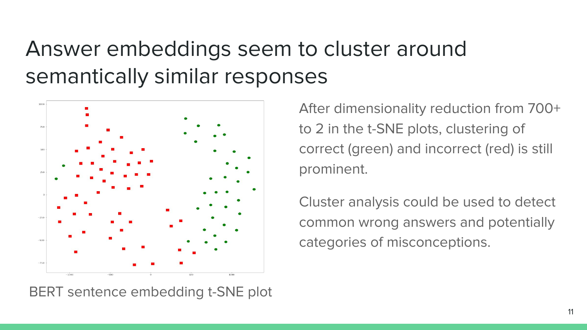## Answer embeddings seem to cluster around semantically similar responses



BERT sentence embedding t-SNE plot

After dimensionality reduction from 700+ to 2 in the t-SNE plots, clustering of correct (green) and incorrect (red) is still prominent.

Cluster analysis could be used to detect common wrong answers and potentially categories of misconceptions.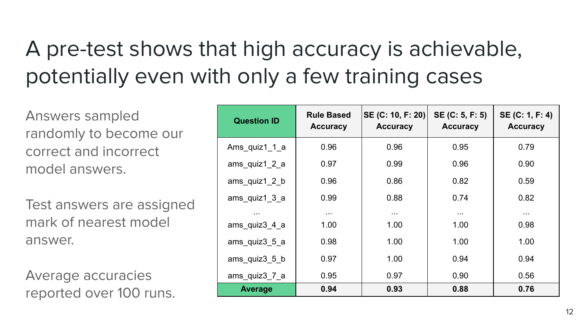# A pre-test shows that high accuracy is achievable, potentially even with only a few training cases

Answers sampled randomly to become our correct and incorrect model answers.

Test answers are assigned mark of nearest model answer.

Average accuracies reported over 100 runs.

| <b>Question ID</b>                         | <b>Rule Based</b><br><b>Accuracy</b> | SE (C: 10, F: 20)<br><b>Accuracy</b> | SE (C: 5, F: 5)<br><b>Accuracy</b> | SE (C: 1, F: 4)<br><b>Accuracy</b> |
|--------------------------------------------|--------------------------------------|--------------------------------------|------------------------------------|------------------------------------|
| Ams quiz1 1 a                              | 0.96                                 | 0.96                                 | 0.95                               | 0.79                               |
| ams quiz1 2 a                              | 0.97                                 | 0.99                                 | 0.96                               | 0.90                               |
| ams_quiz1_2_b                              | 0.96                                 | 0.86                                 | 0.82                               | 0.59                               |
| $ams$ <sub>quiz</sub> $1_3_2$ <sub>a</sub> | 0.99                                 | 0.88                                 | 0.74                               | 0.82                               |
| $\cdots$                                   | $\cdots$                             | $\cdots$                             | $\cdots$                           | $\cdots$                           |
| ams quiz3 4 a                              | 1.00                                 | 1.00                                 | 1.00                               | 0.98                               |
| ams_quiz3_5_a                              | 0.98                                 | 1.00                                 | 1.00                               | 1.00                               |
| ams quiz $3\,5\,b$                         | 0.97                                 | 1.00                                 | 0.94                               | 0.94                               |
| ams_quiz3_7_a                              | 0.95                                 | 0.97                                 | 0.90                               | 0.56                               |
| <b>Average</b>                             | 0.94                                 | 0.93                                 | 0.88                               | 0.76                               |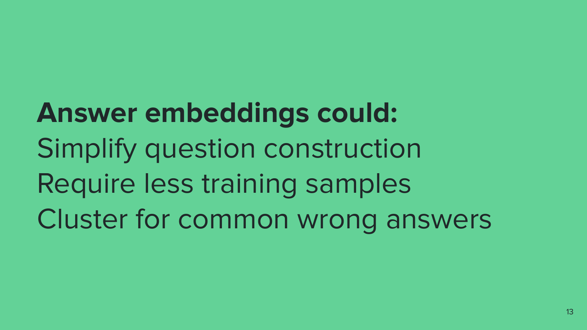**Answer embeddings could:** Simplify question construction Require less training samples Cluster for common wrong answers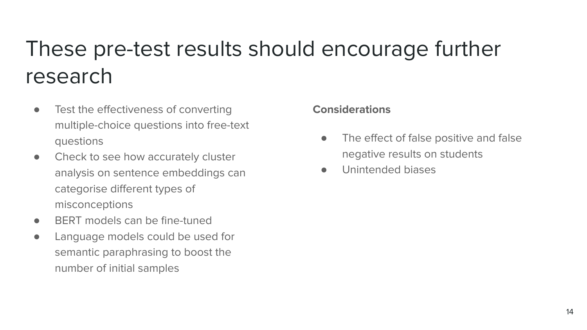## These pre-test results should encourage further research

- **•** Test the effectiveness of converting multiple-choice questions into free-text questions
- Check to see how accurately cluster analysis on sentence embeddings can categorise different types of misconceptions
- BERT models can be fine-tuned
- Language models could be used for semantic paraphrasing to boost the number of initial samples

#### **Considerations**

- The effect of false positive and false negative results on students
- Unintended biases